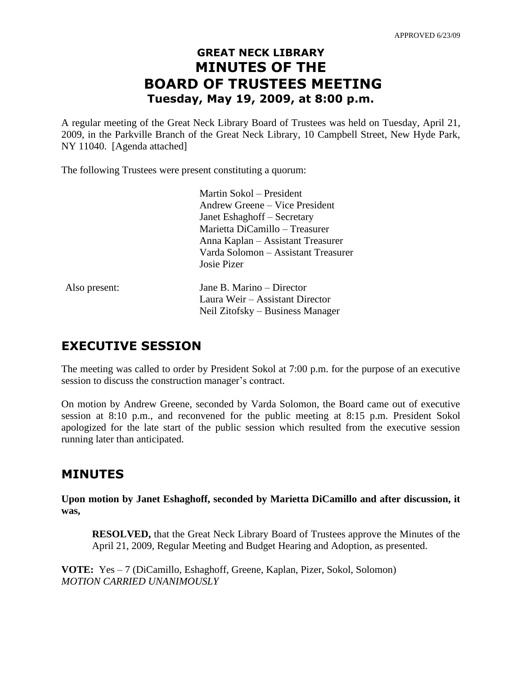# **GREAT NECK LIBRARY MINUTES OF THE BOARD OF TRUSTEES MEETING Tuesday, May 19, 2009, at 8:00 p.m.**

A regular meeting of the Great Neck Library Board of Trustees was held on Tuesday, April 21, 2009, in the Parkville Branch of the Great Neck Library, 10 Campbell Street, New Hyde Park, NY 11040. [Agenda attached]

The following Trustees were present constituting a quorum:

|               | Martin Sokol – President            |
|---------------|-------------------------------------|
|               | Andrew Greene – Vice President      |
|               | Janet Eshaghoff – Secretary         |
|               | Marietta DiCamillo – Treasurer      |
|               | Anna Kaplan – Assistant Treasurer   |
|               | Varda Solomon – Assistant Treasurer |
|               | Josie Pizer                         |
| Also present: | Jane B. Marino – Director           |
|               | Laura Weir – Assistant Director     |
|               | Neil Zitofsky – Business Manager    |

# **EXECUTIVE SESSION**

The meeting was called to order by President Sokol at 7:00 p.m. for the purpose of an executive session to discuss the construction manager's contract.

On motion by Andrew Greene, seconded by Varda Solomon, the Board came out of executive session at 8:10 p.m., and reconvened for the public meeting at 8:15 p.m. President Sokol apologized for the late start of the public session which resulted from the executive session running later than anticipated.

# **MINUTES**

**Upon motion by Janet Eshaghoff, seconded by Marietta DiCamillo and after discussion, it was,**

**RESOLVED,** that the Great Neck Library Board of Trustees approve the Minutes of the April 21, 2009, Regular Meeting and Budget Hearing and Adoption, as presented.

**VOTE:** Yes – 7 (DiCamillo, Eshaghoff, Greene, Kaplan, Pizer, Sokol, Solomon) *MOTION CARRIED UNANIMOUSLY*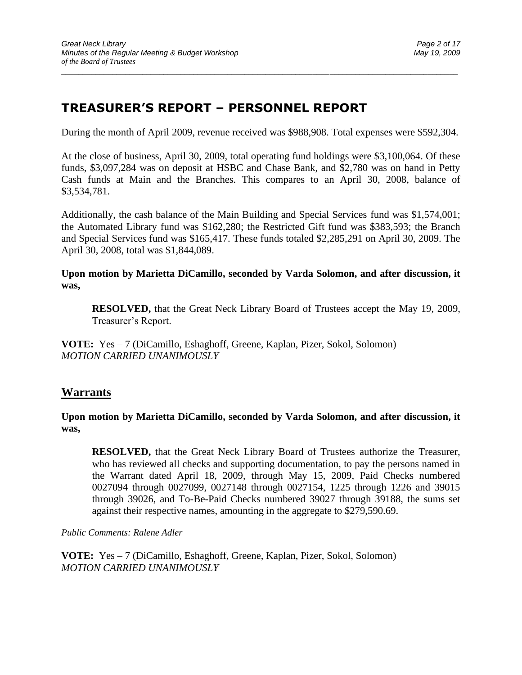# **TREASURER'S REPORT – PERSONNEL REPORT**

During the month of April 2009, revenue received was \$988,908. Total expenses were \$592,304.

 $\_$  ,  $\_$  ,  $\_$  ,  $\_$  ,  $\_$  ,  $\_$  ,  $\_$  ,  $\_$  ,  $\_$  ,  $\_$  ,  $\_$  ,  $\_$  ,  $\_$  ,  $\_$  ,  $\_$  ,  $\_$  ,  $\_$  ,  $\_$  ,  $\_$  ,  $\_$  ,  $\_$  ,  $\_$  ,  $\_$  ,  $\_$  ,  $\_$  ,  $\_$  ,  $\_$  ,  $\_$  ,  $\_$  ,  $\_$  ,  $\_$  ,  $\_$  ,  $\_$  ,  $\_$  ,  $\_$  ,  $\_$  ,  $\_$  ,

At the close of business, April 30, 2009, total operating fund holdings were \$3,100,064. Of these funds, \$3,097,284 was on deposit at HSBC and Chase Bank, and \$2,780 was on hand in Petty Cash funds at Main and the Branches. This compares to an April 30, 2008, balance of \$3,534,781.

Additionally, the cash balance of the Main Building and Special Services fund was \$1,574,001; the Automated Library fund was \$162,280; the Restricted Gift fund was \$383,593; the Branch and Special Services fund was \$165,417. These funds totaled \$2,285,291 on April 30, 2009. The April 30, 2008, total was \$1,844,089.

### **Upon motion by Marietta DiCamillo, seconded by Varda Solomon, and after discussion, it was,**

**RESOLVED,** that the Great Neck Library Board of Trustees accept the May 19, 2009, Treasurer's Report.

**VOTE:** Yes – 7 (DiCamillo, Eshaghoff, Greene, Kaplan, Pizer, Sokol, Solomon) *MOTION CARRIED UNANIMOUSLY*

## **Warrants**

### **Upon motion by Marietta DiCamillo, seconded by Varda Solomon, and after discussion, it was,**

**RESOLVED,** that the Great Neck Library Board of Trustees authorize the Treasurer, who has reviewed all checks and supporting documentation, to pay the persons named in the Warrant dated April 18, 2009, through May 15, 2009, Paid Checks numbered 0027094 through 0027099, 0027148 through 0027154, 1225 through 1226 and 39015 through 39026, and To-Be-Paid Checks numbered 39027 through 39188, the sums set against their respective names, amounting in the aggregate to \$279,590.69.

*Public Comments: Ralene Adler*

**VOTE:** Yes – 7 (DiCamillo, Eshaghoff, Greene, Kaplan, Pizer, Sokol, Solomon) *MOTION CARRIED UNANIMOUSLY*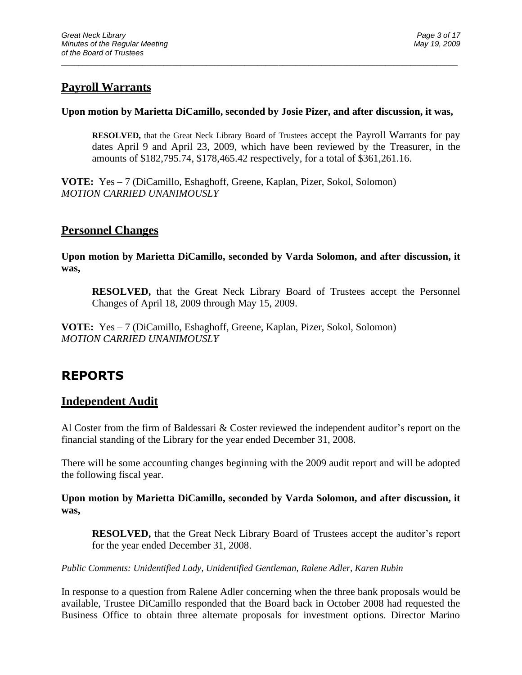## **Payroll Warrants**

### **Upon motion by Marietta DiCamillo, seconded by Josie Pizer, and after discussion, it was,**

\_\_\_\_\_\_\_\_\_\_\_\_\_\_\_\_\_\_\_\_\_\_\_\_\_\_\_\_\_\_\_\_\_\_\_\_\_\_\_\_\_\_\_\_\_\_\_\_\_\_\_\_\_\_\_\_\_\_\_\_\_\_\_\_\_\_\_\_\_\_\_\_\_\_\_\_\_\_\_\_\_\_\_\_\_\_\_\_\_\_\_\_\_

**RESOLVED,** that the Great Neck Library Board of Trustees accept the Payroll Warrants for pay dates April 9 and April 23, 2009, which have been reviewed by the Treasurer, in the amounts of \$182,795.74, \$178,465.42 respectively, for a total of \$361,261.16.

**VOTE:** Yes – 7 (DiCamillo, Eshaghoff, Greene, Kaplan, Pizer, Sokol, Solomon) *MOTION CARRIED UNANIMOUSLY*

## **Personnel Changes**

**Upon motion by Marietta DiCamillo, seconded by Varda Solomon, and after discussion, it was,**

**RESOLVED,** that the Great Neck Library Board of Trustees accept the Personnel Changes of April 18, 2009 through May 15, 2009.

**VOTE:** Yes – 7 (DiCamillo, Eshaghoff, Greene, Kaplan, Pizer, Sokol, Solomon) *MOTION CARRIED UNANIMOUSLY*

# **REPORTS**

## **Independent Audit**

Al Coster from the firm of Baldessari & Coster reviewed the independent auditor's report on the financial standing of the Library for the year ended December 31, 2008.

There will be some accounting changes beginning with the 2009 audit report and will be adopted the following fiscal year.

**Upon motion by Marietta DiCamillo, seconded by Varda Solomon, and after discussion, it was,**

**RESOLVED,** that the Great Neck Library Board of Trustees accept the auditor's report for the year ended December 31, 2008.

*Public Comments: Unidentified Lady, Unidentified Gentleman, Ralene Adler, Karen Rubin* 

In response to a question from Ralene Adler concerning when the three bank proposals would be available, Trustee DiCamillo responded that the Board back in October 2008 had requested the Business Office to obtain three alternate proposals for investment options. Director Marino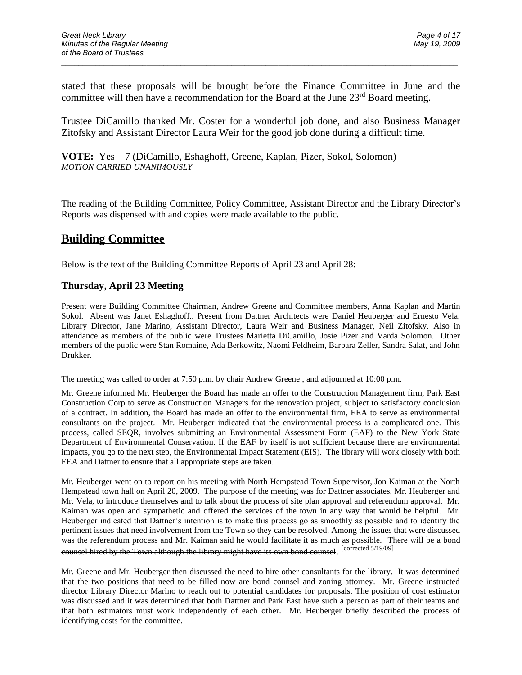stated that these proposals will be brought before the Finance Committee in June and the committee will then have a recommendation for the Board at the June 23<sup>rd</sup> Board meeting.

\_\_\_\_\_\_\_\_\_\_\_\_\_\_\_\_\_\_\_\_\_\_\_\_\_\_\_\_\_\_\_\_\_\_\_\_\_\_\_\_\_\_\_\_\_\_\_\_\_\_\_\_\_\_\_\_\_\_\_\_\_\_\_\_\_\_\_\_\_\_\_\_\_\_\_\_\_\_\_\_\_\_\_\_\_\_\_\_\_\_\_\_\_

Trustee DiCamillo thanked Mr. Coster for a wonderful job done, and also Business Manager Zitofsky and Assistant Director Laura Weir for the good job done during a difficult time.

**VOTE:** Yes – 7 (DiCamillo, Eshaghoff, Greene, Kaplan, Pizer, Sokol, Solomon) *MOTION CARRIED UNANIMOUSLY*

The reading of the Building Committee, Policy Committee, Assistant Director and the Library Director's Reports was dispensed with and copies were made available to the public.

## **Building Committee**

Below is the text of the Building Committee Reports of April 23 and April 28:

### **Thursday, April 23 Meeting**

Present were Building Committee Chairman, Andrew Greene and Committee members, Anna Kaplan and Martin Sokol. Absent was Janet Eshaghoff.. Present from Dattner Architects were Daniel Heuberger and Ernesto Vela, Library Director, Jane Marino, Assistant Director, Laura Weir and Business Manager, Neil Zitofsky. Also in attendance as members of the public were Trustees Marietta DiCamillo, Josie Pizer and Varda Solomon. Other members of the public were Stan Romaine, Ada Berkowitz, Naomi Feldheim, Barbara Zeller, Sandra Salat, and John Drukker.

The meeting was called to order at 7:50 p.m. by chair Andrew Greene , and adjourned at 10:00 p.m.

Mr. Greene informed Mr. Heuberger the Board has made an offer to the Construction Management firm, Park East Construction Corp to serve as Construction Managers for the renovation project, subject to satisfactory conclusion of a contract. In addition, the Board has made an offer to the environmental firm, EEA to serve as environmental consultants on the project. Mr. Heuberger indicated that the environmental process is a complicated one. This process, called SEQR, involves submitting an Environmental Assessment Form (EAF) to the New York State Department of Environmental Conservation. If the EAF by itself is not sufficient because there are environmental impacts, you go to the next step, the Environmental Impact Statement (EIS). The library will work closely with both EEA and Dattner to ensure that all appropriate steps are taken.

Mr. Heuberger went on to report on his meeting with North Hempstead Town Supervisor, Jon Kaiman at the North Hempstead town hall on April 20, 2009. The purpose of the meeting was for Dattner associates, Mr. Heuberger and Mr. Vela, to introduce themselves and to talk about the process of site plan approval and referendum approval. Mr. Kaiman was open and sympathetic and offered the services of the town in any way that would be helpful. Mr. Heuberger indicated that Dattner's intention is to make this process go as smoothly as possible and to identify the pertinent issues that need involvement from the Town so they can be resolved. Among the issues that were discussed was the referendum process and Mr. Kaiman said he would facilitate it as much as possible. There will be a bond counsel hired by the Town although the library might have its own bond counsel. [corrected 5/19/09]

Mr. Greene and Mr. Heuberger then discussed the need to hire other consultants for the library. It was determined that the two positions that need to be filled now are bond counsel and zoning attorney. Mr. Greene instructed director Library Director Marino to reach out to potential candidates for proposals. The position of cost estimator was discussed and it was determined that both Dattner and Park East have such a person as part of their teams and that both estimators must work independently of each other. Mr. Heuberger briefly described the process of identifying costs for the committee.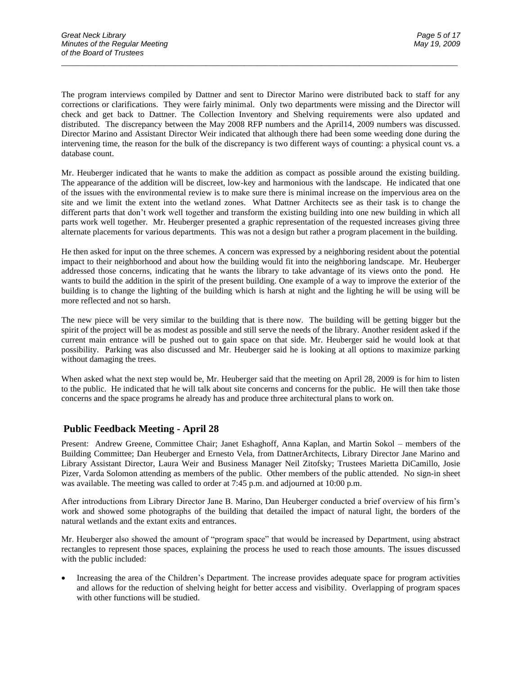The program interviews compiled by Dattner and sent to Director Marino were distributed back to staff for any corrections or clarifications. They were fairly minimal. Only two departments were missing and the Director will check and get back to Dattner. The Collection Inventory and Shelving requirements were also updated and distributed. The discrepancy between the May 2008 RFP numbers and the April14, 2009 numbers was discussed. Director Marino and Assistant Director Weir indicated that although there had been some weeding done during the intervening time, the reason for the bulk of the discrepancy is two different ways of counting: a physical count vs. a database count.

\_\_\_\_\_\_\_\_\_\_\_\_\_\_\_\_\_\_\_\_\_\_\_\_\_\_\_\_\_\_\_\_\_\_\_\_\_\_\_\_\_\_\_\_\_\_\_\_\_\_\_\_\_\_\_\_\_\_\_\_\_\_\_\_\_\_\_\_\_\_\_\_\_\_\_\_\_\_\_\_\_\_\_\_\_\_\_\_\_\_\_\_\_

Mr. Heuberger indicated that he wants to make the addition as compact as possible around the existing building. The appearance of the addition will be discreet, low-key and harmonious with the landscape. He indicated that one of the issues with the environmental review is to make sure there is minimal increase on the impervious area on the site and we limit the extent into the wetland zones. What Dattner Architects see as their task is to change the different parts that don't work well together and transform the existing building into one new building in which all parts work well together. Mr. Heuberger presented a graphic representation of the requested increases giving three alternate placements for various departments. This was not a design but rather a program placement in the building.

He then asked for input on the three schemes. A concern was expressed by a neighboring resident about the potential impact to their neighborhood and about how the building would fit into the neighboring landscape. Mr. Heuberger addressed those concerns, indicating that he wants the library to take advantage of its views onto the pond. He wants to build the addition in the spirit of the present building. One example of a way to improve the exterior of the building is to change the lighting of the building which is harsh at night and the lighting he will be using will be more reflected and not so harsh.

The new piece will be very similar to the building that is there now. The building will be getting bigger but the spirit of the project will be as modest as possible and still serve the needs of the library. Another resident asked if the current main entrance will be pushed out to gain space on that side. Mr. Heuberger said he would look at that possibility. Parking was also discussed and Mr. Heuberger said he is looking at all options to maximize parking without damaging the trees.

When asked what the next step would be, Mr. Heuberger said that the meeting on April 28, 2009 is for him to listen to the public. He indicated that he will talk about site concerns and concerns for the public. He will then take those concerns and the space programs he already has and produce three architectural plans to work on.

### **Public Feedback Meeting - April 28**

Present: Andrew Greene, Committee Chair; Janet Eshaghoff, Anna Kaplan, and Martin Sokol – members of the Building Committee; Dan Heuberger and Ernesto Vela, from DattnerArchitects, Library Director Jane Marino and Library Assistant Director, Laura Weir and Business Manager Neil Zitofsky; Trustees Marietta DiCamillo, Josie Pizer, Varda Solomon attending as members of the public. Other members of the public attended. No sign-in sheet was available. The meeting was called to order at 7:45 p.m. and adjourned at 10:00 p.m.

After introductions from Library Director Jane B. Marino, Dan Heuberger conducted a brief overview of his firm's work and showed some photographs of the building that detailed the impact of natural light, the borders of the natural wetlands and the extant exits and entrances.

Mr. Heuberger also showed the amount of "program space" that would be increased by Department, using abstract rectangles to represent those spaces, explaining the process he used to reach those amounts. The issues discussed with the public included:

• Increasing the area of the Children's Department. The increase provides adequate space for program activities and allows for the reduction of shelving height for better access and visibility. Overlapping of program spaces with other functions will be studied.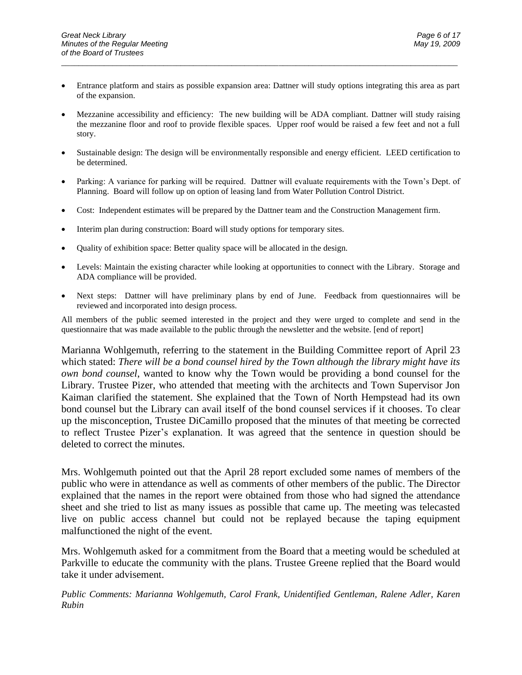• Entrance platform and stairs as possible expansion area: Dattner will study options integrating this area as part of the expansion.

\_\_\_\_\_\_\_\_\_\_\_\_\_\_\_\_\_\_\_\_\_\_\_\_\_\_\_\_\_\_\_\_\_\_\_\_\_\_\_\_\_\_\_\_\_\_\_\_\_\_\_\_\_\_\_\_\_\_\_\_\_\_\_\_\_\_\_\_\_\_\_\_\_\_\_\_\_\_\_\_\_\_\_\_\_\_\_\_\_\_\_\_\_

- Mezzanine accessibility and efficiency: The new building will be ADA compliant. Dattner will study raising the mezzanine floor and roof to provide flexible spaces. Upper roof would be raised a few feet and not a full story.
- Sustainable design: The design will be environmentally responsible and energy efficient. LEED certification to be determined.
- Parking: A variance for parking will be required. Dattner will evaluate requirements with the Town's Dept. of Planning. Board will follow up on option of leasing land from Water Pollution Control District.
- Cost: Independent estimates will be prepared by the Dattner team and the Construction Management firm.
- Interim plan during construction: Board will study options for temporary sites.
- Quality of exhibition space: Better quality space will be allocated in the design.
- Levels: Maintain the existing character while looking at opportunities to connect with the Library. Storage and ADA compliance will be provided.
- Next steps: Dattner will have preliminary plans by end of June. Feedback from questionnaires will be reviewed and incorporated into design process.

All members of the public seemed interested in the project and they were urged to complete and send in the questionnaire that was made available to the public through the newsletter and the website. [end of report]

Marianna Wohlgemuth, referring to the statement in the Building Committee report of April 23 which stated: *There will be a bond counsel hired by the Town although the library might have its own bond counsel*, wanted to know why the Town would be providing a bond counsel for the Library. Trustee Pizer, who attended that meeting with the architects and Town Supervisor Jon Kaiman clarified the statement. She explained that the Town of North Hempstead had its own bond counsel but the Library can avail itself of the bond counsel services if it chooses. To clear up the misconception, Trustee DiCamillo proposed that the minutes of that meeting be corrected to reflect Trustee Pizer's explanation. It was agreed that the sentence in question should be deleted to correct the minutes.

Mrs. Wohlgemuth pointed out that the April 28 report excluded some names of members of the public who were in attendance as well as comments of other members of the public. The Director explained that the names in the report were obtained from those who had signed the attendance sheet and she tried to list as many issues as possible that came up. The meeting was telecasted live on public access channel but could not be replayed because the taping equipment malfunctioned the night of the event.

Mrs. Wohlgemuth asked for a commitment from the Board that a meeting would be scheduled at Parkville to educate the community with the plans. Trustee Greene replied that the Board would take it under advisement.

*Public Comments: Marianna Wohlgemuth, Carol Frank, Unidentified Gentleman, Ralene Adler, Karen Rubin*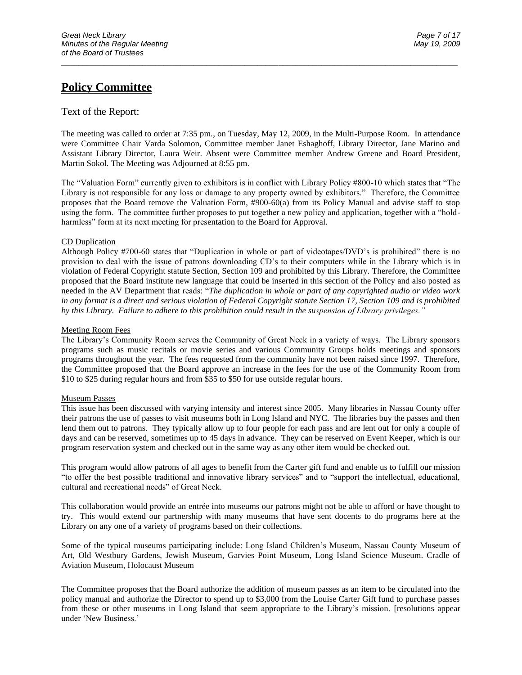## **Policy Committee**

#### Text of the Report:

The meeting was called to order at 7:35 pm., on Tuesday, May 12, 2009, in the Multi-Purpose Room. In attendance were Committee Chair Varda Solomon, Committee member Janet Eshaghoff, Library Director, Jane Marino and Assistant Library Director, Laura Weir. Absent were Committee member Andrew Greene and Board President, Martin Sokol. The Meeting was Adjourned at 8:55 pm.

\_\_\_\_\_\_\_\_\_\_\_\_\_\_\_\_\_\_\_\_\_\_\_\_\_\_\_\_\_\_\_\_\_\_\_\_\_\_\_\_\_\_\_\_\_\_\_\_\_\_\_\_\_\_\_\_\_\_\_\_\_\_\_\_\_\_\_\_\_\_\_\_\_\_\_\_\_\_\_\_\_\_\_\_\_\_\_\_\_\_\_\_\_

The "Valuation Form" currently given to exhibitors is in conflict with Library Policy #800-10 which states that "The Library is not responsible for any loss or damage to any property owned by exhibitors." Therefore, the Committee proposes that the Board remove the Valuation Form, #900-60(a) from its Policy Manual and advise staff to stop using the form. The committee further proposes to put together a new policy and application, together with a "holdharmless" form at its next meeting for presentation to the Board for Approval.

#### CD Duplication

Although Policy #700-60 states that "Duplication in whole or part of videotapes/DVD's is prohibited" there is no provision to deal with the issue of patrons downloading CD's to their computers while in the Library which is in violation of Federal Copyright statute Section, Section 109 and prohibited by this Library. Therefore, the Committee proposed that the Board institute new language that could be inserted in this section of the Policy and also posted as needed in the AV Department that reads: "*The duplication in whole or part of any copyrighted audio or video work in any format is a direct and serious violation of Federal Copyright statute Section 17, Section 109 and is prohibited by this Library. Failure to adhere to this prohibition could result in the suspension of Library privileges."* 

#### Meeting Room Fees

The Library's Community Room serves the Community of Great Neck in a variety of ways. The Library sponsors programs such as music recitals or movie series and various Community Groups holds meetings and sponsors programs throughout the year. The fees requested from the community have not been raised since 1997. Therefore, the Committee proposed that the Board approve an increase in the fees for the use of the Community Room from \$10 to \$25 during regular hours and from \$35 to \$50 for use outside regular hours.

#### Museum Passes

This issue has been discussed with varying intensity and interest since 2005. Many libraries in Nassau County offer their patrons the use of passes to visit museums both in Long Island and NYC. The libraries buy the passes and then lend them out to patrons. They typically allow up to four people for each pass and are lent out for only a couple of days and can be reserved, sometimes up to 45 days in advance. They can be reserved on Event Keeper, which is our program reservation system and checked out in the same way as any other item would be checked out.

This program would allow patrons of all ages to benefit from the Carter gift fund and enable us to fulfill our mission "to offer the best possible traditional and innovative library services" and to "support the intellectual, educational, cultural and recreational needs" of Great Neck.

This collaboration would provide an entrée into museums our patrons might not be able to afford or have thought to try. This would extend our partnership with many museums that have sent docents to do programs here at the Library on any one of a variety of programs based on their collections.

Some of the typical museums participating include: Long Island Children's Museum, Nassau County Museum of Art, Old Westbury Gardens, Jewish Museum, Garvies Point Museum, Long Island Science Museum. Cradle of Aviation Museum, Holocaust Museum

The Committee proposes that the Board authorize the addition of museum passes as an item to be circulated into the policy manual and authorize the Director to spend up to \$3,000 from the Louise Carter Gift fund to purchase passes from these or other museums in Long Island that seem appropriate to the Library's mission. [resolutions appear under 'New Business.'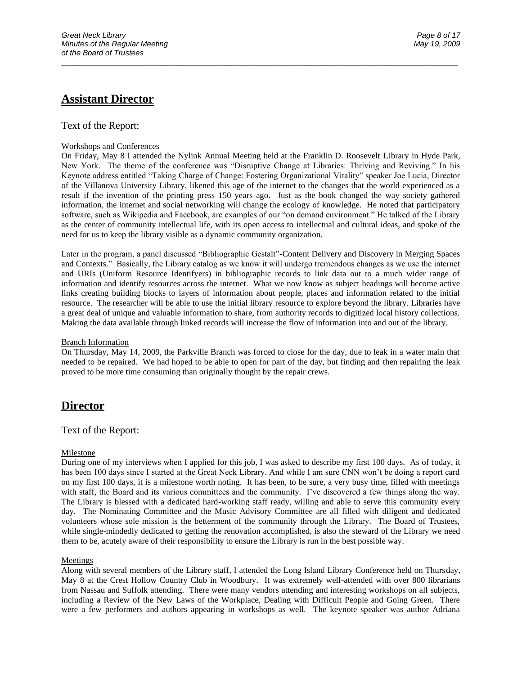## **Assistant Director**

#### Text of the Report:

#### Workshops and Conferences

On Friday, May 8 I attended the Nylink Annual Meeting held at the Franklin D. Roosevelt Library in Hyde Park, New York. The theme of the conference was "Disruptive Change at Libraries: Thriving and Reviving." In his Keynote address entitled "Taking Charge of Change: Fostering Organizational Vitality" speaker Joe Lucia, Director of the Villanova University Library, likened this age of the internet to the changes that the world experienced as a result if the invention of the printing press 150 years ago. Just as the book changed the way society gathered information, the internet and social networking will change the ecology of knowledge. He noted that participatory software, such as Wikipedia and Facebook, are examples of our "on demand environment." He talked of the Library as the center of community intellectual life, with its open access to intellectual and cultural ideas, and spoke of the need for us to keep the library visible as a dynamic community organization.

\_\_\_\_\_\_\_\_\_\_\_\_\_\_\_\_\_\_\_\_\_\_\_\_\_\_\_\_\_\_\_\_\_\_\_\_\_\_\_\_\_\_\_\_\_\_\_\_\_\_\_\_\_\_\_\_\_\_\_\_\_\_\_\_\_\_\_\_\_\_\_\_\_\_\_\_\_\_\_\_\_\_\_\_\_\_\_\_\_\_\_\_\_

Later in the program, a panel discussed "Bibliographic Gestalt"-Content Delivery and Discovery in Merging Spaces and Contexts." Basically, the Library catalog as we know it will undergo tremendous changes as we use the internet and URIs (Uniform Resource Identifyers) in bibliographic records to link data out to a much wider range of information and identify resources across the internet. What we now know as subject headings will become active links creating building blocks to layers of information about people, places and information related to the initial resource. The researcher will be able to use the initial library resource to explore beyond the library. Libraries have a great deal of unique and valuable information to share, from authority records to digitized local history collections. Making the data available through linked records will increase the flow of information into and out of the library.

#### Branch Information

On Thursday, May 14, 2009, the Parkville Branch was forced to close for the day, due to leak in a water main that needed to be repaired. We had hoped to be able to open for part of the day, but finding and then repairing the leak proved to be more time consuming than originally thought by the repair crews.

### **Director**

#### Text of the Report:

#### Milestone

During one of my interviews when I applied for this job, I was asked to describe my first 100 days. As of today, it has been 100 days since I started at the Great Neck Library. And while I am sure CNN won't be doing a report card on my first 100 days, it is a milestone worth noting. It has been, to be sure, a very busy time, filled with meetings with staff, the Board and its various committees and the community. I've discovered a few things along the way. The Library is blessed with a dedicated hard-working staff ready, willing and able to serve this community every day. The Nominating Committee and the Music Advisory Committee are all filled with diligent and dedicated volunteers whose sole mission is the betterment of the community through the Library. The Board of Trustees, while single-mindedly dedicated to getting the renovation accomplished, is also the steward of the Library we need them to be, acutely aware of their responsibility to ensure the Library is run in the best possible way.

#### Meetings

Along with several members of the Library staff, I attended the Long Island Library Conference held on Thursday, May 8 at the Crest Hollow Country Club in Woodbury. It was extremely well-attended with over 800 librarians from Nassau and Suffolk attending. There were many vendors attending and interesting workshops on all subjects, including a Review of the New Laws of the Workplace, Dealing with Difficult People and Going Green. There were a few performers and authors appearing in workshops as well. The keynote speaker was author Adriana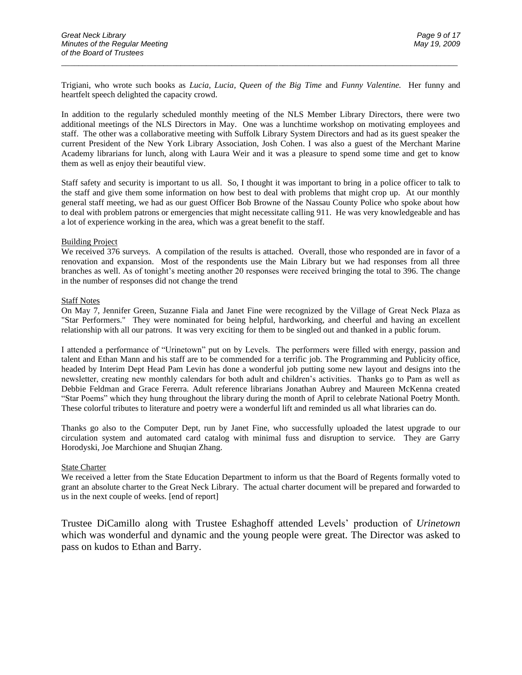Trigiani, who wrote such books as *Lucia, Lucia, Queen of the Big Time* and *Funny Valentine.* Her funny and heartfelt speech delighted the capacity crowd.

\_\_\_\_\_\_\_\_\_\_\_\_\_\_\_\_\_\_\_\_\_\_\_\_\_\_\_\_\_\_\_\_\_\_\_\_\_\_\_\_\_\_\_\_\_\_\_\_\_\_\_\_\_\_\_\_\_\_\_\_\_\_\_\_\_\_\_\_\_\_\_\_\_\_\_\_\_\_\_\_\_\_\_\_\_\_\_\_\_\_\_\_\_

In addition to the regularly scheduled monthly meeting of the NLS Member Library Directors, there were two additional meetings of the NLS Directors in May. One was a lunchtime workshop on motivating employees and staff. The other was a collaborative meeting with Suffolk Library System Directors and had as its guest speaker the current President of the New York Library Association, Josh Cohen. I was also a guest of the Merchant Marine Academy librarians for lunch, along with Laura Weir and it was a pleasure to spend some time and get to know them as well as enjoy their beautiful view.

Staff safety and security is important to us all. So, I thought it was important to bring in a police officer to talk to the staff and give them some information on how best to deal with problems that might crop up. At our monthly general staff meeting, we had as our guest Officer Bob Browne of the Nassau County Police who spoke about how to deal with problem patrons or emergencies that might necessitate calling 911. He was very knowledgeable and has a lot of experience working in the area, which was a great benefit to the staff.

#### Building Project

We received 376 surveys. A compilation of the results is attached. Overall, those who responded are in favor of a renovation and expansion. Most of the respondents use the Main Library but we had responses from all three branches as well. As of tonight's meeting another 20 responses were received bringing the total to 396. The change in the number of responses did not change the trend

#### Staff Notes

On May 7, Jennifer Green, Suzanne Fiala and Janet Fine were recognized by the Village of Great Neck Plaza as "Star Performers." They were nominated for being helpful, hardworking, and cheerful and having an excellent relationship with all our patrons. It was very exciting for them to be singled out and thanked in a public forum.

I attended a performance of "Urinetown" put on by Levels. The performers were filled with energy, passion and talent and Ethan Mann and his staff are to be commended for a terrific job. The Programming and Publicity office, headed by Interim Dept Head Pam Levin has done a wonderful job putting some new layout and designs into the newsletter, creating new monthly calendars for both adult and children's activities. Thanks go to Pam as well as Debbie Feldman and Grace Fererra. Adult reference librarians Jonathan Aubrey and Maureen McKenna created "Star Poems" which they hung throughout the library during the month of April to celebrate National Poetry Month. These colorful tributes to literature and poetry were a wonderful lift and reminded us all what libraries can do.

Thanks go also to the Computer Dept, run by Janet Fine, who successfully uploaded the latest upgrade to our circulation system and automated card catalog with minimal fuss and disruption to service. They are Garry Horodyski, Joe Marchione and Shuqian Zhang.

#### **State Charter**

We received a letter from the State Education Department to inform us that the Board of Regents formally voted to grant an absolute charter to the Great Neck Library. The actual charter document will be prepared and forwarded to us in the next couple of weeks. [end of report]

Trustee DiCamillo along with Trustee Eshaghoff attended Levels' production of *Urinetown* which was wonderful and dynamic and the young people were great. The Director was asked to pass on kudos to Ethan and Barry.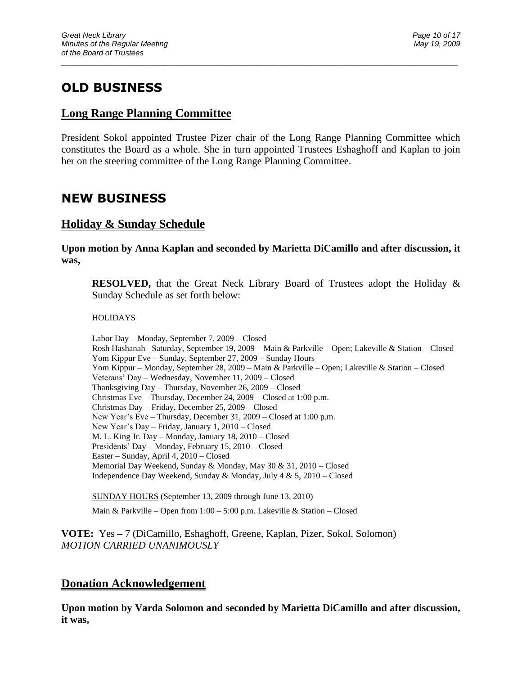# **OLD BUSINESS**

## **Long Range Planning Committee**

President Sokol appointed Trustee Pizer chair of the Long Range Planning Committee which constitutes the Board as a whole. She in turn appointed Trustees Eshaghoff and Kaplan to join her on the steering committee of the Long Range Planning Committee.

\_\_\_\_\_\_\_\_\_\_\_\_\_\_\_\_\_\_\_\_\_\_\_\_\_\_\_\_\_\_\_\_\_\_\_\_\_\_\_\_\_\_\_\_\_\_\_\_\_\_\_\_\_\_\_\_\_\_\_\_\_\_\_\_\_\_\_\_\_\_\_\_\_\_\_\_\_\_\_\_\_\_\_\_\_\_\_\_\_\_\_\_\_

# **NEW BUSINESS**

## **Holiday & Sunday Schedule**

**Upon motion by Anna Kaplan and seconded by Marietta DiCamillo and after discussion, it was,**

**RESOLVED,** that the Great Neck Library Board of Trustees adopt the Holiday & Sunday Schedule as set forth below:

### **HOLIDAYS**

Labor Day – Monday, September 7, 2009 – Closed Rosh Hashanah –Saturday, September 19, 2009 – Main & Parkville – Open; Lakeville & Station – Closed Yom Kippur Eve – Sunday, September 27, 2009 – Sunday Hours Yom Kippur – Monday, September 28, 2009 – Main & Parkville – Open; Lakeville & Station – Closed Veterans' Day – Wednesday, November 11, 2009 – Closed Thanksgiving Day – Thursday, November 26, 2009 – Closed Christmas Eve – Thursday, December 24, 2009 – Closed at 1:00 p.m. Christmas Day – Friday, December 25, 2009 – Closed New Year's Eve – Thursday, December 31, 2009 – Closed at 1:00 p.m. New Year's Day – Friday, January 1, 2010 – Closed M. L. King Jr. Day – Monday, January 18, 2010 – Closed Presidents' Day – Monday, February 15, 2010 – Closed Easter – Sunday, April 4, 2010 – Closed Memorial Day Weekend, Sunday & Monday, May 30 & 31, 2010 – Closed Independence Day Weekend, Sunday & Monday, July 4 & 5, 2010 – Closed

SUNDAY HOURS (September 13, 2009 through June 13, 2010)

Main & Parkville – Open from 1:00 – 5:00 p.m. Lakeville & Station – Closed

**VOTE:** Yes **–** 7 (DiCamillo, Eshaghoff, Greene, Kaplan, Pizer, Sokol, Solomon) *MOTION CARRIED UNANIMOUSLY*

## **Donation Acknowledgement**

**Upon motion by Varda Solomon and seconded by Marietta DiCamillo and after discussion, it was,**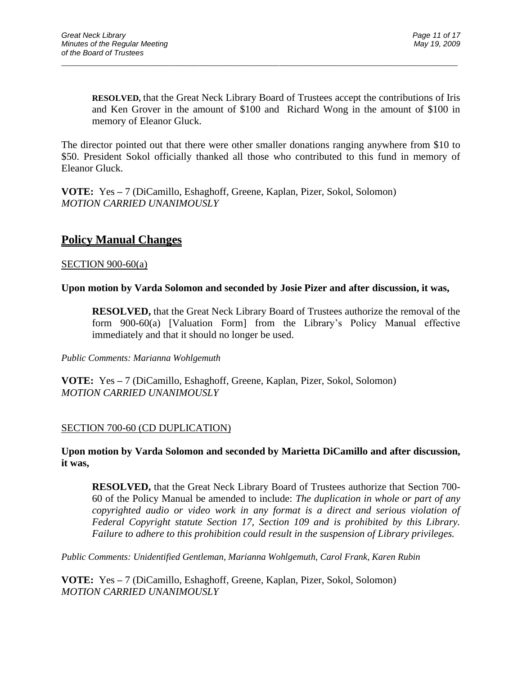**RESOLVED,** that the Great Neck Library Board of Trustees accept the contributions of Iris and Ken Grover in the amount of \$100 and Richard Wong in the amount of \$100 in memory of Eleanor Gluck.

The director pointed out that there were other smaller donations ranging anywhere from \$10 to \$50. President Sokol officially thanked all those who contributed to this fund in memory of Eleanor Gluck.

\_\_\_\_\_\_\_\_\_\_\_\_\_\_\_\_\_\_\_\_\_\_\_\_\_\_\_\_\_\_\_\_\_\_\_\_\_\_\_\_\_\_\_\_\_\_\_\_\_\_\_\_\_\_\_\_\_\_\_\_\_\_\_\_\_\_\_\_\_\_\_\_\_\_\_\_\_\_\_\_\_\_\_\_\_\_\_\_\_\_\_\_\_

**VOTE:** Yes **–** 7 (DiCamillo, Eshaghoff, Greene, Kaplan, Pizer, Sokol, Solomon) *MOTION CARRIED UNANIMOUSLY*

## **Policy Manual Changes**

### SECTION 900-60(a)

### **Upon motion by Varda Solomon and seconded by Josie Pizer and after discussion, it was,**

**RESOLVED,** that the Great Neck Library Board of Trustees authorize the removal of the form 900-60(a) [Valuation Form] from the Library's Policy Manual effective immediately and that it should no longer be used.

*Public Comments: Marianna Wohlgemuth*

**VOTE:** Yes **–** 7 (DiCamillo, Eshaghoff, Greene, Kaplan, Pizer, Sokol, Solomon) *MOTION CARRIED UNANIMOUSLY*

### SECTION 700-60 (CD DUPLICATION)

### **Upon motion by Varda Solomon and seconded by Marietta DiCamillo and after discussion, it was,**

**RESOLVED,** that the Great Neck Library Board of Trustees authorize that Section 700- 60 of the Policy Manual be amended to include: *The duplication in whole or part of any copyrighted audio or video work in any format is a direct and serious violation of Federal Copyright statute Section 17, Section 109 and is prohibited by this Library. Failure to adhere to this prohibition could result in the suspension of Library privileges.* 

*Public Comments: Unidentified Gentleman, Marianna Wohlgemuth, Carol Frank, Karen Rubin*

**VOTE:** Yes **–** 7 (DiCamillo, Eshaghoff, Greene, Kaplan, Pizer, Sokol, Solomon) *MOTION CARRIED UNANIMOUSLY*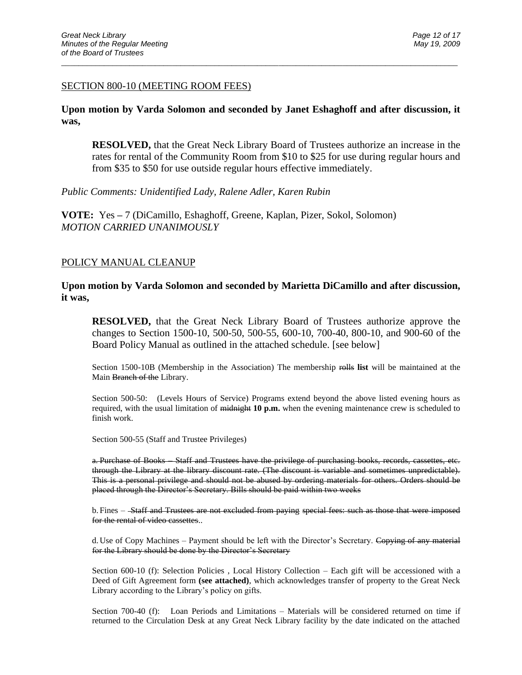#### SECTION 800-10 (MEETING ROOM FEES)

### **Upon motion by Varda Solomon and seconded by Janet Eshaghoff and after discussion, it was,**

\_\_\_\_\_\_\_\_\_\_\_\_\_\_\_\_\_\_\_\_\_\_\_\_\_\_\_\_\_\_\_\_\_\_\_\_\_\_\_\_\_\_\_\_\_\_\_\_\_\_\_\_\_\_\_\_\_\_\_\_\_\_\_\_\_\_\_\_\_\_\_\_\_\_\_\_\_\_\_\_\_\_\_\_\_\_\_\_\_\_\_\_\_

**RESOLVED,** that the Great Neck Library Board of Trustees authorize an increase in the rates for rental of the Community Room from \$10 to \$25 for use during regular hours and from \$35 to \$50 for use outside regular hours effective immediately.

*Public Comments: Unidentified Lady, Ralene Adler, Karen Rubin*

**VOTE:** Yes **–** 7 (DiCamillo, Eshaghoff, Greene, Kaplan, Pizer, Sokol, Solomon) *MOTION CARRIED UNANIMOUSLY*

#### POLICY MANUAL CLEANUP

**Upon motion by Varda Solomon and seconded by Marietta DiCamillo and after discussion, it was,**

**RESOLVED,** that the Great Neck Library Board of Trustees authorize approve the changes to Section 1500-10, 500-50, 500-55, 600-10, 700-40, 800-10, and 900-60 of the Board Policy Manual as outlined in the attached schedule. [see below]

Section 1500-10B (Membership in the Association) The membership rolls **list** will be maintained at the Main Branch of the Library.

Section 500-50: (Levels Hours of Service) Programs extend beyond the above listed evening hours as required, with the usual limitation of midnight **10 p.m.** when the evening maintenance crew is scheduled to finish work.

Section 500-55 (Staff and Trustee Privileges)

a. Purchase of Books – Staff and Trustees have the privilege of purchasing books, records, cassettes, etc. through the Library at the library discount rate. (The discount is variable and sometimes unpredictable). This is a personal privilege and should not be abused by ordering materials for others. Orders should be placed through the Director's Secretary. Bills should be paid within two weeks

b. Fines - Staff and Trustees are not excluded from paying special fees: such as those that were imposed for the rental of video cassettes..

d. Use of Copy Machines – Payment should be left with the Director's Secretary. Copying of any material for the Library should be done by the Director's Secretary

Section 600-10 (f): Selection Policies , Local History Collection – Each gift will be accessioned with a Deed of Gift Agreement form **(see attached)**, which acknowledges transfer of property to the Great Neck Library according to the Library's policy on gifts.

Section 700-40 (f): Loan Periods and Limitations – Materials will be considered returned on time if returned to the Circulation Desk at any Great Neck Library facility by the date indicated on the attached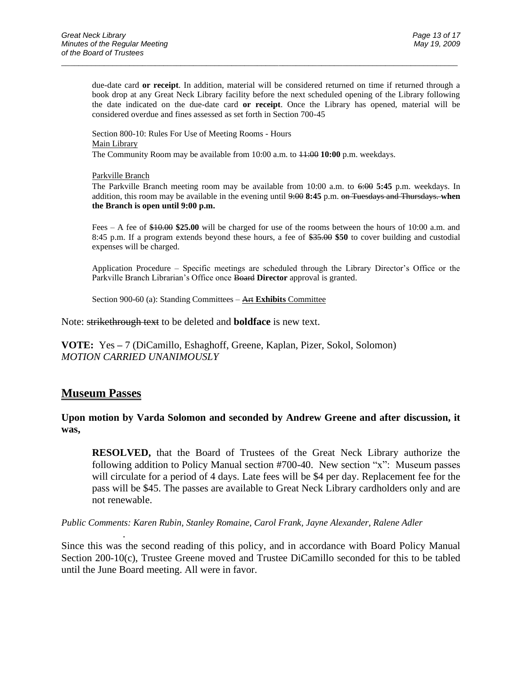due-date card **or receipt**. In addition, material will be considered returned on time if returned through a book drop at any Great Neck Library facility before the next scheduled opening of the Library following the date indicated on the due-date card **or receipt**. Once the Library has opened, material will be considered overdue and fines assessed as set forth in Section 700-45

\_\_\_\_\_\_\_\_\_\_\_\_\_\_\_\_\_\_\_\_\_\_\_\_\_\_\_\_\_\_\_\_\_\_\_\_\_\_\_\_\_\_\_\_\_\_\_\_\_\_\_\_\_\_\_\_\_\_\_\_\_\_\_\_\_\_\_\_\_\_\_\_\_\_\_\_\_\_\_\_\_\_\_\_\_\_\_\_\_\_\_\_\_

Section 800-10: Rules For Use of Meeting Rooms - Hours Main Library The Community Room may be available from 10:00 a.m. to 11:00 **10:00** p.m. weekdays.

#### Parkville Branch

The Parkville Branch meeting room may be available from 10:00 a.m. to 6:00 **5:45** p.m. weekdays. In addition, this room may be available in the evening until 9:00 **8:45** p.m. on Tuesdays and Thursdays. **when the Branch is open until 9:00 p.m.**

Fees – A fee of \$10.00 **\$25.00** will be charged for use of the rooms between the hours of 10:00 a.m. and 8:45 p.m. If a program extends beyond these hours, a fee of \$35.00 **\$50** to cover building and custodial expenses will be charged.

Application Procedure – Specific meetings are scheduled through the Library Director's Office or the Parkville Branch Librarian's Office once Board **Director** approval is granted.

Section 900-60 (a): Standing Committees – Art **Exhibits** Committee

Note: strikethrough text to be deleted and **boldface** is new text.

**VOTE:** Yes **–** 7 (DiCamillo, Eshaghoff, Greene, Kaplan, Pizer, Sokol, Solomon) *MOTION CARRIED UNANIMOUSLY*

### **Museum Passes**

.

### **Upon motion by Varda Solomon and seconded by Andrew Greene and after discussion, it was,**

**RESOLVED,** that the Board of Trustees of the Great Neck Library authorize the following addition to Policy Manual section #700-40. New section "x": Museum passes will circulate for a period of 4 days. Late fees will be \$4 per day. Replacement fee for the pass will be \$45. The passes are available to Great Neck Library cardholders only and are not renewable.

*Public Comments: Karen Rubin, Stanley Romaine, Carol Frank, Jayne Alexander, Ralene Adler*

Since this was the second reading of this policy, and in accordance with Board Policy Manual Section 200-10(c), Trustee Greene moved and Trustee DiCamillo seconded for this to be tabled until the June Board meeting. All were in favor.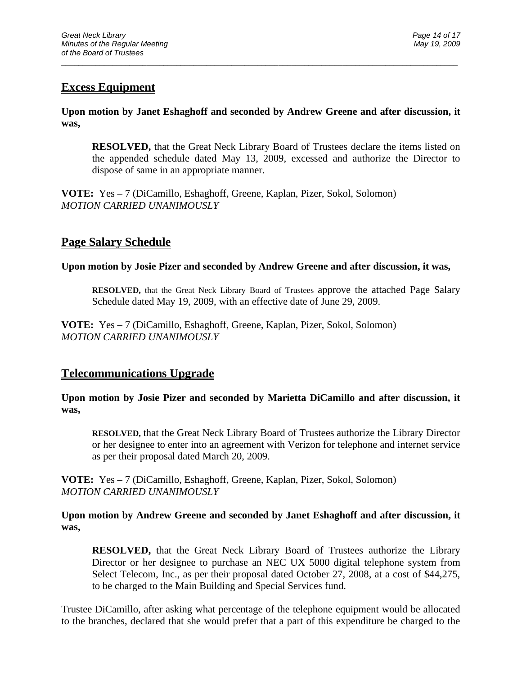## **Excess Equipment**

**Upon motion by Janet Eshaghoff and seconded by Andrew Greene and after discussion, it was,**

\_\_\_\_\_\_\_\_\_\_\_\_\_\_\_\_\_\_\_\_\_\_\_\_\_\_\_\_\_\_\_\_\_\_\_\_\_\_\_\_\_\_\_\_\_\_\_\_\_\_\_\_\_\_\_\_\_\_\_\_\_\_\_\_\_\_\_\_\_\_\_\_\_\_\_\_\_\_\_\_\_\_\_\_\_\_\_\_\_\_\_\_\_

**RESOLVED,** that the Great Neck Library Board of Trustees declare the items listed on the appended schedule dated May 13, 2009, excessed and authorize the Director to dispose of same in an appropriate manner.

**VOTE:** Yes **–** 7 (DiCamillo, Eshaghoff, Greene, Kaplan, Pizer, Sokol, Solomon) *MOTION CARRIED UNANIMOUSLY*

## **Page Salary Schedule**

### **Upon motion by Josie Pizer and seconded by Andrew Greene and after discussion, it was,**

**RESOLVED,** that the Great Neck Library Board of Trustees approve the attached Page Salary Schedule dated May 19, 2009, with an effective date of June 29, 2009.

**VOTE:** Yes **–** 7 (DiCamillo, Eshaghoff, Greene, Kaplan, Pizer, Sokol, Solomon) *MOTION CARRIED UNANIMOUSLY*

## **Telecommunications Upgrade**

**Upon motion by Josie Pizer and seconded by Marietta DiCamillo and after discussion, it was,**

**RESOLVED,** that the Great Neck Library Board of Trustees authorize the Library Director or her designee to enter into an agreement with Verizon for telephone and internet service as per their proposal dated March 20, 2009.

**VOTE:** Yes **–** 7 (DiCamillo, Eshaghoff, Greene, Kaplan, Pizer, Sokol, Solomon) *MOTION CARRIED UNANIMOUSLY*

**Upon motion by Andrew Greene and seconded by Janet Eshaghoff and after discussion, it was,**

**RESOLVED,** that the Great Neck Library Board of Trustees authorize the Library Director or her designee to purchase an NEC UX 5000 digital telephone system from Select Telecom, Inc., as per their proposal dated October 27, 2008, at a cost of \$44,275, to be charged to the Main Building and Special Services fund.

Trustee DiCamillo, after asking what percentage of the telephone equipment would be allocated to the branches, declared that she would prefer that a part of this expenditure be charged to the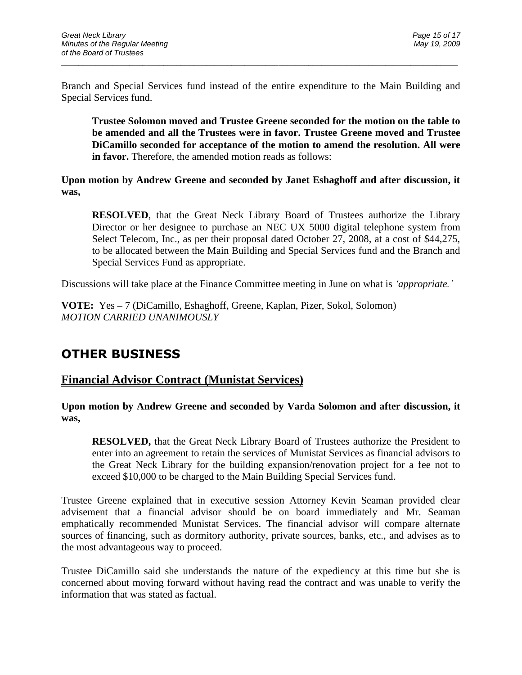Branch and Special Services fund instead of the entire expenditure to the Main Building and Special Services fund.

\_\_\_\_\_\_\_\_\_\_\_\_\_\_\_\_\_\_\_\_\_\_\_\_\_\_\_\_\_\_\_\_\_\_\_\_\_\_\_\_\_\_\_\_\_\_\_\_\_\_\_\_\_\_\_\_\_\_\_\_\_\_\_\_\_\_\_\_\_\_\_\_\_\_\_\_\_\_\_\_\_\_\_\_\_\_\_\_\_\_\_\_\_

**Trustee Solomon moved and Trustee Greene seconded for the motion on the table to be amended and all the Trustees were in favor. Trustee Greene moved and Trustee DiCamillo seconded for acceptance of the motion to amend the resolution. All were in favor.** Therefore, the amended motion reads as follows:

**Upon motion by Andrew Greene and seconded by Janet Eshaghoff and after discussion, it was,**

**RESOLVED**, that the Great Neck Library Board of Trustees authorize the Library Director or her designee to purchase an NEC UX 5000 digital telephone system from Select Telecom, Inc., as per their proposal dated October 27, 2008, at a cost of \$44,275, to be allocated between the Main Building and Special Services fund and the Branch and Special Services Fund as appropriate.

Discussions will take place at the Finance Committee meeting in June on what is *'appropriate.'*

**VOTE:** Yes **–** 7 (DiCamillo, Eshaghoff, Greene, Kaplan, Pizer, Sokol, Solomon) *MOTION CARRIED UNANIMOUSLY*

# **OTHER BUSINESS**

### **Financial Advisor Contract (Munistat Services)**

**Upon motion by Andrew Greene and seconded by Varda Solomon and after discussion, it was,**

**RESOLVED,** that the Great Neck Library Board of Trustees authorize the President to enter into an agreement to retain the services of Munistat Services as financial advisors to the Great Neck Library for the building expansion/renovation project for a fee not to exceed \$10,000 to be charged to the Main Building Special Services fund.

Trustee Greene explained that in executive session Attorney Kevin Seaman provided clear advisement that a financial advisor should be on board immediately and Mr. Seaman emphatically recommended Munistat Services. The financial advisor will compare alternate sources of financing, such as dormitory authority, private sources, banks, etc., and advises as to the most advantageous way to proceed.

Trustee DiCamillo said she understands the nature of the expediency at this time but she is concerned about moving forward without having read the contract and was unable to verify the information that was stated as factual.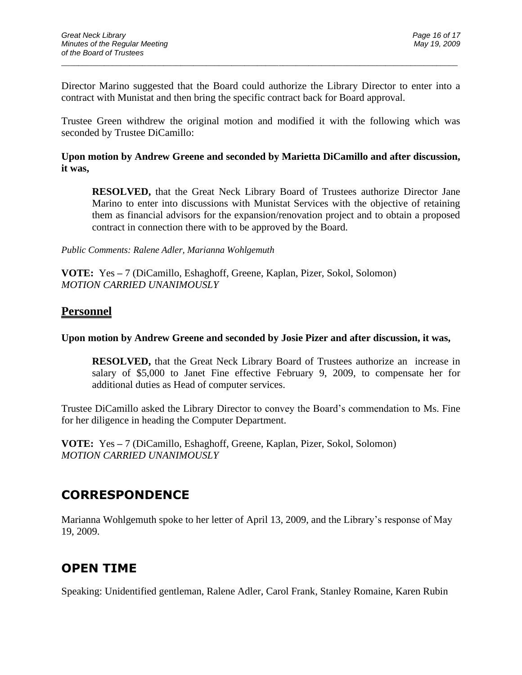Director Marino suggested that the Board could authorize the Library Director to enter into a contract with Munistat and then bring the specific contract back for Board approval.

\_\_\_\_\_\_\_\_\_\_\_\_\_\_\_\_\_\_\_\_\_\_\_\_\_\_\_\_\_\_\_\_\_\_\_\_\_\_\_\_\_\_\_\_\_\_\_\_\_\_\_\_\_\_\_\_\_\_\_\_\_\_\_\_\_\_\_\_\_\_\_\_\_\_\_\_\_\_\_\_\_\_\_\_\_\_\_\_\_\_\_\_\_

Trustee Green withdrew the original motion and modified it with the following which was seconded by Trustee DiCamillo:

### **Upon motion by Andrew Greene and seconded by Marietta DiCamillo and after discussion, it was,**

**RESOLVED,** that the Great Neck Library Board of Trustees authorize Director Jane Marino to enter into discussions with Munistat Services with the objective of retaining them as financial advisors for the expansion/renovation project and to obtain a proposed contract in connection there with to be approved by the Board.

*Public Comments: Ralene Adler, Marianna Wohlgemuth*

**VOTE:** Yes **–** 7 (DiCamillo, Eshaghoff, Greene, Kaplan, Pizer, Sokol, Solomon) *MOTION CARRIED UNANIMOUSLY*

## **Personnel**

### **Upon motion by Andrew Greene and seconded by Josie Pizer and after discussion, it was,**

**RESOLVED,** that the Great Neck Library Board of Trustees authorize an increase in salary of \$5,000 to Janet Fine effective February 9, 2009, to compensate her for additional duties as Head of computer services.

Trustee DiCamillo asked the Library Director to convey the Board's commendation to Ms. Fine for her diligence in heading the Computer Department.

**VOTE:** Yes **–** 7 (DiCamillo, Eshaghoff, Greene, Kaplan, Pizer, Sokol, Solomon) *MOTION CARRIED UNANIMOUSLY*

# **CORRESPONDENCE**

Marianna Wohlgemuth spoke to her letter of April 13, 2009, and the Library's response of May 19, 2009.

# **OPEN TIME**

Speaking: Unidentified gentleman, Ralene Adler, Carol Frank, Stanley Romaine, Karen Rubin